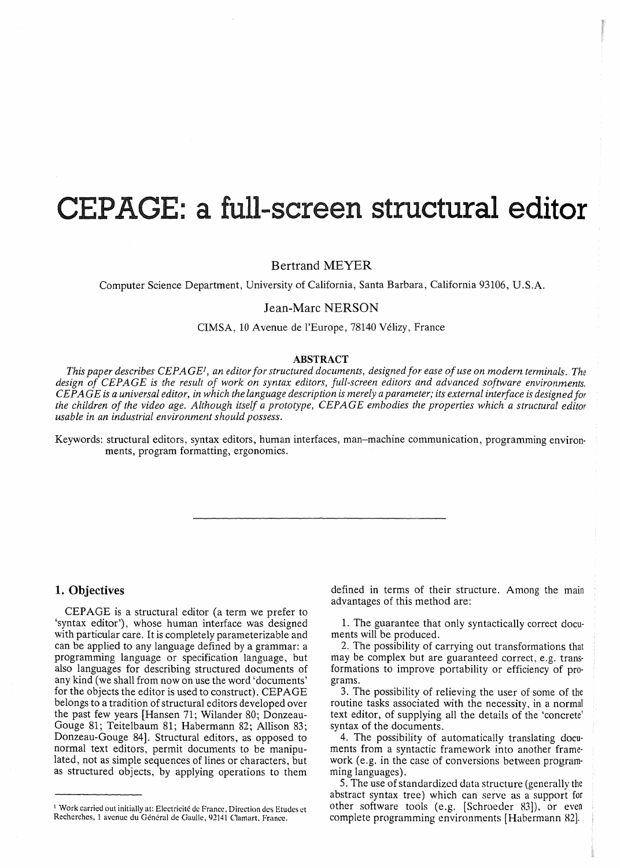# **CEP GE: a full-screen** structural **editor**

Bertrand MEYER

Computer Science Department, University of California, Santa Barbara, California 93106, U.S.A.

# Jean-Marc NERSON

CIMSA, 10 Avenue de l'Europe, 78140 Velizy, France

# ABSTRACT

*This paper describes CEPAGE<sup>1</sup>, an editor for structured documents, designed for ease of use on modern terminals. The design of CEPAGE is the result of work on syntax editors, full-screen editors and advanced software environments. CEP AGE is a universal editor, in which the language description is merely a parameter; its external interface is designed for the children of the video age. Although itself a prototype, CEPAGE embodies the properties which a structural editor usable in an industrial environment should possess.* 

Keywords: structural editors, syntax editors, human interfaces, man-machine communication, programming environ· ments, program formatting, ergonomics.

# **1. Objectives**

CEPAGE is a structural editor (a term we prefer to 'syntax editor'), whose human interface was designed with particular care. It is completely parameterizable and can be applied to any language defined by a grammar: a programming language or specification language, but also languages for describing structured documents of any kind (we shall from now on use the word 'documents' for the objects the editor is used to construct). CEPAGE belongs to a tradition of structural editors developed over the past few years [Hansen 71; Wilander 80; Donzeau-Gouge 81; Teitelbaum 81; Habermann 82; Allison 83; Donzeau-Gouge 84]. Structural editors, as opposed to normal text editors, permit documents to be manipulated, not as simple sequences of lines or characters, but as structured objects, by applying operations to them

defined in terms of their structure. Among the main advantages of this method are:

1. The guarantee that only syntactically correct docu· ments will be produced.

2. The possibility of carrying out transformations that may be complex but are guaranteed correct, e.g. trans· formations to improve portability or efficiency of pro· grams.

3. The possibility of relieving the user of some of the routine tasks associated with the necessity, in a normal text editor, of supplying all the details of the 'concrete' syntax of the documents.

4. The possibility of automatically translating documents from a syntactic framework into another framework (e.g. in the case of conversions between programming languages).

5. The use of standardized data structure (generally the abstract syntax tree) which can serve as a support for other software tools (e.g. (Schroeder 83]), or even complete programming environments [Habermann 82].

<sup>&</sup>lt;sup>1</sup> Work carried out initially at: Electricité de France, Direction des Etudes et Recherches, 1 avenue du Général de Gaulle, 92141 Clamart, France.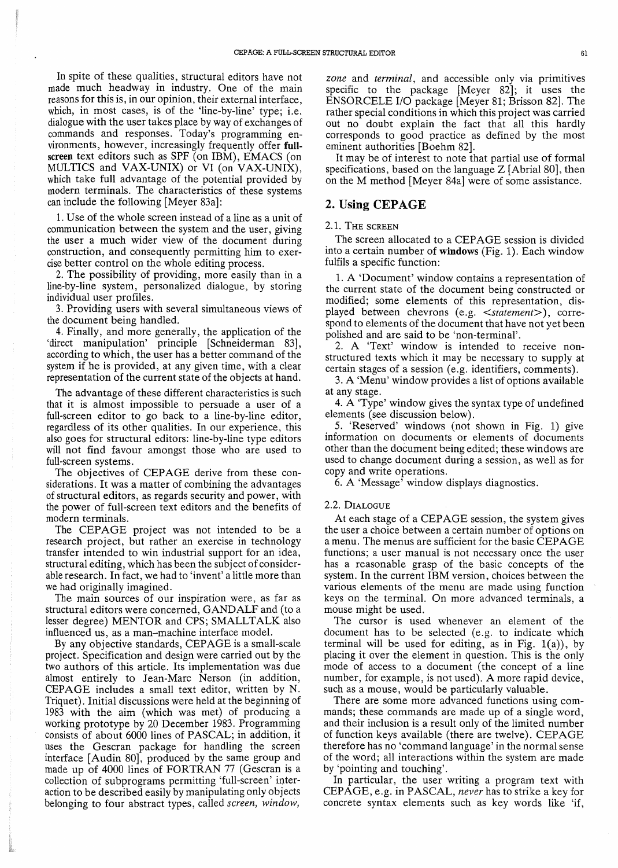In spite of these qualities, structural editors have not made much headway in industry. One of the main reasons for this is, in our opinion, their external interface, which, in most cases, is of the 'line-by-line' type; i.e. dialogue with the user takes place by way of exchanges of commands and responses. Today's programming environments, however, increasingly frequently offer fullscreen text editors such as SPF (on IBM), EMACS (on MULTICS and VAX-UNIX) or VI (on VAX-UNIX), which take full advantage of the potential provided by modern terminals. The characteristics of these systems can include the following [Meyer 83a]:

1. Use of the whole screen instead of a line as a unit of communication between the system and the user, giving the user a much wider view of the document during construction, and consequently permitting him to exercise better control on the whole editing process.

2. The possibility of providing, more easily than in a line-by-line system, personalized dialogue, by storing individual user profiles.

3. Providing users with several simultaneous views of the document being handled.

4. Finally, and more generally, the application of the 'direct manipulation' principle [Schneiderman 83], according to which, the user has a better command of the system if he is provided, at any given time, with a clear representation of the current state of the objects at hand.

The advantage of these different characteristics is such that it is almost impossible to persuade a user of a full-screen editor to go back to a line-by-line editor, regardless of its other qualities. In our experience, this also goes for structural editors: line-by-line type editors will not find favour amongst those who are used to full-screen systems.

The objectives of CEPAGE derive from these considerations. It was a matter of combining the advantages of structural editors, as regards security and power, with the power of full-screen text editors and the benefits of modern terminals.

The CEPAGE project was not intended to be a research project, but rather an exercise in technology transfer intended to win industrial support for an idea, structural editing, which has been the subject of considerable research. In fact, we had to 'invent' a little more than we had originally imagined.

The main sources of our inspiration were, as far as structural editors were concerned, GANDALF and (to a lesser degree) MENTOR and CPS; SMALLTALK also influenced us, as a man-machine interface model.

By any objective standards, CEP AGE is a small-scale project. Specification and design were carried out by the two authors of this article. Its implementation was due almost entirely to lean-Marc Nerson (in addition, CEPAGE includes a small text editor, written by N. Triquet). Initial discussions were held at the beginning of 1983 with the aim (which was met) of producing a working prototype by 20 December 1983. Programming consists of about 6000 lines of PASCAL; in addition, it uses the Gescran package for handling the screen interface [Audin 80], produced by the same group and made up of 4000 lines of FORTRAN 77 (Gescran is a collection of subprograms permitting 'full-screen' interaction to be described easily by manipulating only objects belonging to four abstract types, called *screen, window,* 

*zone* and *terminal,* and accessible only via primitives specific to the package [Meyer 82]; it uses the ENSORCELE I/O package [Meyer 81; Brisson 82]. The rather special conditions in which this project was carried out no doubt explain the fact that all this hardly corresponds to good practice as defined by the most eminent authorities [Boehm 82].

It may be of interest to note that partial use of formal specifications, based on the language  $Z$  [Abrial 80], then on the M method [Meyer 84a] were of some assistance.

# 2. Using CEPAGE

## 2.1. THE SCREEN

The screen allocated to a CEPAGE session is divided into a certain number of windows (Fig. 1). Each window fulfils a specific function:

1. A 'Document' window contains a representation of the current state of the document being constructed or modified; some elements of this representation, displayed between chevrons (e.g. *<statement»,* correspond to elements of the document that have not yet been polished and are said to be 'non-terminal'.

2. A 'Text' window is intended to receive nonstructured texts which it may be necessary to supply at certain stages of a session (e.g. identifiers, comments).

3. A 'Menu' window provides a list of options available at any stage.

4. A 'Type' window gives the syntax type of undefined elements (see discussion below).

5. 'Reserved' windows (not shown in Fig. 1) give information on documents or elements of documents other than the document being edited; these windows are used to change document during a session, as well as for copy and write operations.

6. A 'Message' window displays diagnostics.

## 2.2. DIALOGUE

At each stage of a CEPAGE session, the system gives the user a choice between a certain number of options on a menu. The menus are sufficient for the basic CEP AGE functions; a user manual is not necessary once the user has a reasonable grasp of the basic concepts of the system. In the current IBM version, choices between the various elements of the menu are made using function keys on the terminal. On more advanced terminals, a mouse might be used.

The cursor is used whenever an element of the document has to be selected (e.g. to indicate which terminal will be used for editing, as in Fig.  $1(a)$ ), by placing it over the element in question. This is the only mode of access to a document (the concept of a line number, for example, is not used). A more rapid device, such as a mouse, would be particularly valuable.

There are some more advanced functions using commands; these commands are made up of a single word, and their inclusion is a result only of the limited number of function keys available (there are twelve). CEPAGE therefore has no 'command language' in the normal sense of the word; all interactions within the system are made by 'pointing and touching'.

In particular, the user writing a program text with CEPAGE, e.g. in PASCAL, *never* has to strike a key for concrete syntax elements such as key words like 'if,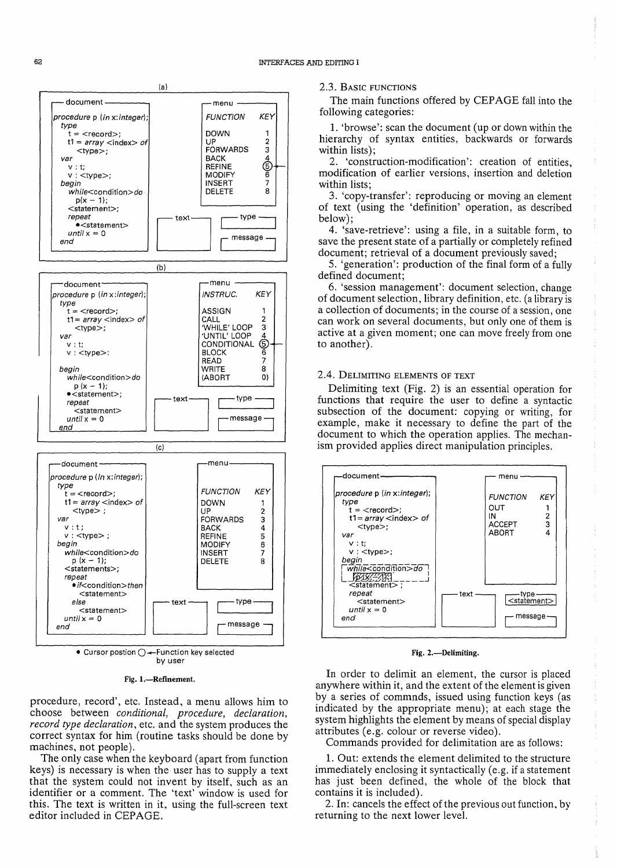

Fig. 1.-Refinement.

procedure, record', etc. Instead, a menu allows him to choose between *conditional, procedure, declaration, record type declaration,* etc. and the system produces the correct syntax for him (routine tasks should be done by machines, not people).

The only case when the keyboard (apart from function keys) is necessary is when the user has to supply a text that the system could not invent by itself, such as an identifier or a comment. The 'text' window is used for this. The text is written in it, using the full-screen text editor included in CEPAGE.

### 2.3. BASIC FUNCTIONS

The main functions offered by CEPAGE fall into the following categories:

1. 'browse': scan the document (up or down within the hierarchy of syntax entities, backwards or forwards within lists);

2. 'construction-modification': creation of entities, modification of earlier versions, insertion and deletion within lists;

3. 'copy-transfer': reproducing or moving an element of text (using the 'definition' operation, as described below);

4. 'save-retrieve': using a file, in a suitable form, to save the present state of a partially or completely refined document; retrieval of a document previously saved;

5. 'generation': production of the final form of a fully defined document;

6. 'session management': document selection, change of document selection, library definition, etc. (a library is a collection of documents; in the course of a session, one can work on several documents, but only one of them is active at a given moment; one can move freely from one to another).

## 2.4. DELIMITING ELEMENTS OF TEXT

Delimiting text (Fig. 2) is an essential operation for functions that require the user to define a syntactic subsection of the document: copying or writing, for example, make it necessary to define the part of the document to which the operation applies. The mechanism provided applies direct manipulation principles.



#### Fig. 2.-Delimiting.

In order to delimit an element, the cursor is placed anywhere within it, and the extent of the element is given by a series of commnds, issued using function keys (as indicated by the appropriate menu); at each stage the system highlights the element by means of special display attributes (e.g. colour or reverse video).

Commands provided for delimitation are as follows:

1. Out: extends the element delimited to the structure immediately enclosing it syntactically (e.g. if a statement has just been defined, the whole of the block that contains it is included).

2. In: cancels the effect of the previous out function, by returning to the next lower level.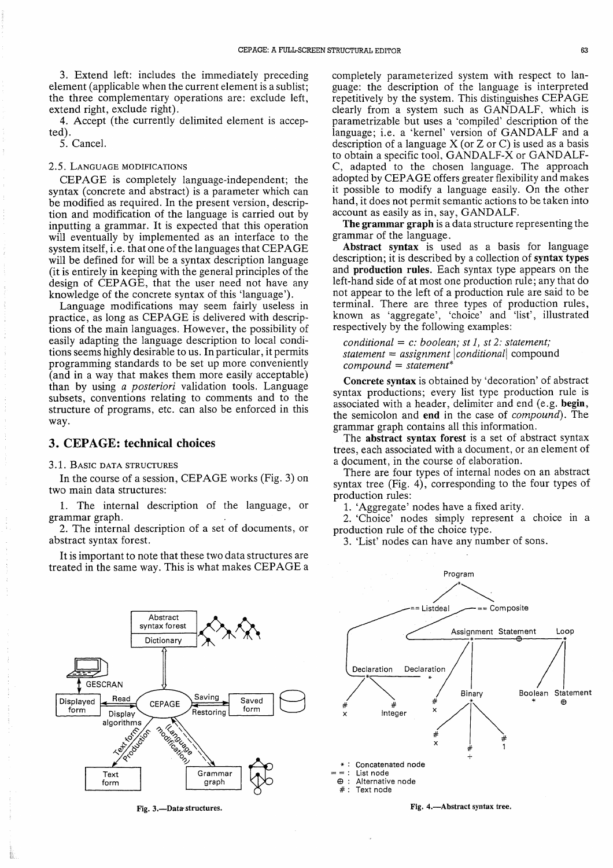3. Extend left: includes the immediately preceding element (applicable when the current element is a sublist; the three complementary operations are: exclude left, extend right, exclude right).

4. Accept (the currently delimited element is accepted).

5. Cancel.

## *2.5.* LANGUAGE MODIFICATIONS

CEPAGE is completely language-independent; the syntax (concrete and abstract) is a parameter which can be modified as required. In the present version, description and modification of the language is carried out by inputting a grammar. It is expected that this operation will eventually by implemented as an interface to the system itself, i.e. that one of the languages that CEPAGE will be defined for will be a syntax description language (it is entirely in keeping with the general principles of the design of CEPAGE, that the user need not have any knowledge of the concrete syntax of this 'language').

Language modifications may seem fairly useless in practice, as long as CEPAGE is delivered with descriptions of the main languages. However, the possibility of easily adapting the language description to local conditions seems highly desirable to us. In particular, it permits programming standards to be set up more conveniently (and in a way that makes them more easily acceptable) than by using *a posteriori* validation tools. Language subsets, conventions relating to comments and to the structure of programs, etc. can also be enforced in this way.

# 3. CEPAGE: technical choices

## 3.1. BASIC DATA STRUCTURES

In the course of a session, CEPAGE works (Fig. 3) on two main data structures:

1. The internal description of the language, or grammar graph.

2. The internal description of a set of documents, or abstract syntax forest.

It is important to note that these two data structures are treated in the same way. This is what makes CEPAGE a

 $\overline{\phantom{a}}^{ract}$   $\overline{\phantom{a}}$   $\overline{\phantom{a}}$   $\overline{\phantom{a}}$ Abstract<br>syntax fore Dictionary **GESCRAN** Saving Read Saved Displayed **CEPAGE** form form Restoring Display a landano monication L algorithms Thms Grammar Text graph form

Fig.3.-Data·structures.

completely parameterized system with respect to language: the description of the language is interpreted repetitively by the system. This distinguishes CEP AGE clearly from a system such as GANDALF, which is parametrizable but uses a 'compiled' description of the language; i.e. a 'kernel' version of GANDALF and a description of a language  $X$  (or  $Z$  or  $C$ ) is used as a basis to obtain a specific tool, GANDALF-X or GANDALF-C, adapted to the chosen language. The approach adopted by CEP AGE offers greater flexibility and makes it possible to modify a language easily. On the other hand, it does not permit semantic actions to be taken into account as easily as in, say, GANDALF.

The grammar graph is a data structure representing the grammar of the language.

Abstract syntax is used as a basis for language description; it is described by a collection of syntax types and production rules. Each syntax type appears on the left-hand side of at most one production rule; any that do not appear to the left of a production rule are said to be terminal. There are three types of production rules, known as 'aggregate', 'choice' and 'list', illustrated respectively by the following examples:

*conditional* = c: *boolean; st* 1, *st* 2: *statement; statement* = *assignment* I *conditionall* compound *compound* = *statement\** 

Concrete syntax is obtained by 'decoration' of abstract syntax productions; every list type production rule is associated with a header, delimiter and end (e.g. begin, the semicolon and end in the case of *compound).* The grammar graph contains all this information.

The abstract syntax forest is a set of abstract syntax trees, each associated with a document, or an element of a document, in the course of elaboration.

There are four types of internal nodes on an abstract syntax tree (Fig. 4), corresponding to the four types of production rules:

1. 'Aggregate' nodes have a fixed arity.

2. 'Choice' nodes simply represent a choice in a production rule of the choice type.

3. 'List' nodes can have any number of sons.

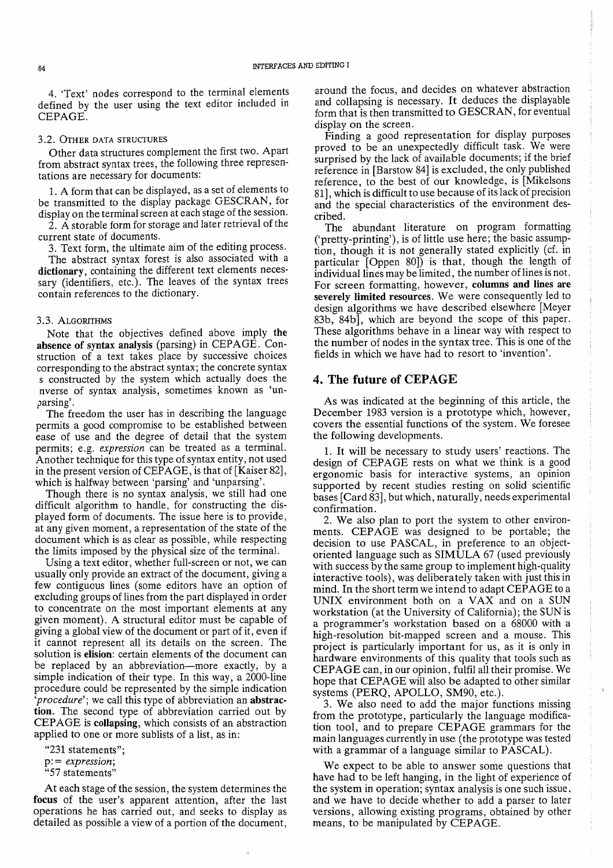4. 'Text' nodes correspond to the terminal elements defined by the user using the text editor included in CEPAGE.

#### 3.2. OTHER DATA STRUCTURES

Other data structures complement the first two. Apart from abstract syntax trees, the following three representations are necessary for documents:

1. A form that can be displayed, as a set of elements to be transmitted to the display package GESCRAN, for display on the terminal screen at each stage of the session.

2. A storable form for storage and later retrieval of the current state of documents.

3. Text form, the ultimate aim of the editing process.

The abstract syntax forest is also associated with a dictionary, containing the different text elements necessary (identifiers, etc.). The leaves of the syntax trees contain references to the dictionary.

#### 3.3. ALGORITHMS

Note that the objectives defined above imply the absence of syntax analysis (parsing) in CEPAGE. Construction of a text takes place by successive choices corresponding to the abstract syntax; the concrete syntax s constructed by the system which actually does the nverse of syntax analysis, sometimes known as 'unparsing'.

The freedom the user has in describing the language permits a good compromise to be established between ease of use and the degree of detail that the system permits; e.g. *expression* can be treated as a terminal. Another technique for this type of syntax entity, not used in the present version of CEPAGE, is that of [Kaiser 82], which is halfway between 'parsing' and 'unparsing'.

Though there is no syntax analysis, we still had one difficult algorithm to handle, for constructing the displayed form of documents. The issue here is to provide, at any given moment, a representation of the state of the document which is as clear as possible, while respecting the limits imposed by the physical size of the terminal.

Using a text editor, whether full-screen or not, we can usually only provide an extract of the document, giving a few contiguous lines (some editors have an option of excluding groups of lines from the part displayed in order to concentrate on the most important elements at any given moment). A structural editor must be capable of giving a global view of the document or part of it, even if it cannot represent all its details on the screen. The solution is elision: certain elements of the document can be replaced by an abbreviation-more exactly, by a simple indication of their type. In this way, a 2000-line procedure could be represented by the simple indication *'procedure';* we call this type of abbreviation an abstraction. The second type of abbreviation carried out by CEP AGE is collapsing, which consists of an abstraction applied to one or more sublists of a list, as in:

"231 statements"; p: = *expression;*  "57 statements"

At each stage of the session, the system determines the focus of the user's apparent attention, after the last operations he has carried out, and seeks to display as detailed as possible a view of a portion of the document, around the focus, and decides on whatever abstraction and collapsing is necessary. It deduces the displayable form that is then transmitted to GESCRAN, for eventual display on the screen.<br>Finding a good representation for display purposes

proved to be an unexpectedly difficult task. We were surprised by the lack of available documents; if the brief reference in [Barstow 84] is excluded, the only published reference, to the best of our knowledge, is [Mikelsons 81], which is difficult to use because of its lack of precision and the special characteristics of the environment described.

The abundant literature on program formatting ('pretty-printing'), is of little use here; the basic assumption, though it is not generally stated explicitly (cf. in particular  $[Oppen 80]$  is that, though the length of individual lines may be limited, the number of lines is not. For screen formatting, however, columns and lines are severely limited resources. We were consequently led to design algorithms we have described elsewhere [Meyer 83b, 84b], which are beyond the scope of this paper. These algorithms behave in a linear way with respect to the number of nodes in the syntax tree. This is one of the fields in which we have had to resort to 'invention'.

# 4. The future of CEPAGE

As was indicated at the beginning of this article, the December 1983 version is a prototype which, however, covers the essential functions of the system. We foresee the following developments.

1. It will be necessary to study users' reactions. The design of CEPAGE rests on what we think is a good ergonomic basis for interactive systems, an opinion supported by recent studies resting on solid scientific bases [Card 83], but which, naturally, needs experimental confirmation.

2. We also plan to port the system to other environments. CEPAGE was designed to be portable; the decision to use PASCAL, in preference to an objectoriented language such as SIMULA 67 (used previously with success by the same group to implement high-quality interactive tools), was deliberately taken with just this in mind. In the short term we intend to adapt CEPAGE to a UNIX environment both on a VAX and on a SUN workstation (at the University of California); the SUN is a programmer's workstation based on a 68000 with a high-resolution bit-mapped screen and a mouse. This project is particularly important for us, as it is only in hardware environments of this quality that tools such as CEPAGE can, in our opinion, fulfil all their promise. We hope that CEPAGE will also be adapted to other similar systems (PERQ, APOLLO, SM90, etc.).

3. We also need to add the major functions missing from the prototype, particularly the language modification tool, and to prepare CEPAGE grammars for the main languages currently in use (the prototype was tested with a grammar of a language similar to PASCAL).

We expect to be able to answer some questions that have had to be left hanging, in the light of experience of the system in operation; syntax analysis is one such issue. and we have to decide whether to add a parser to later versions, allowing existing programs, obtained by other means, to be manipulated by CEPAGE.